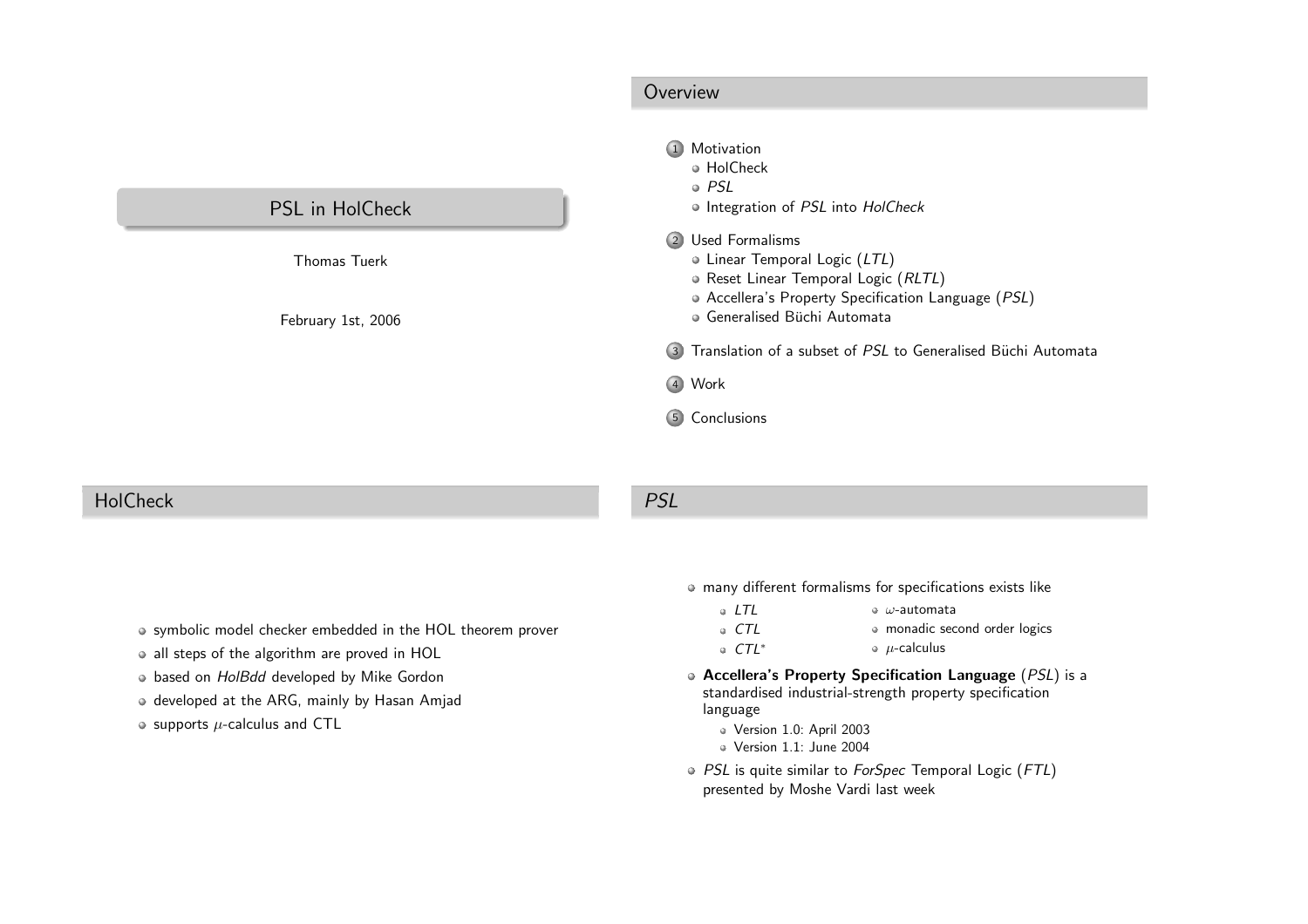<span id="page-0-0"></span>

|                        | Overview                                                                                                                                          |  |
|------------------------|---------------------------------------------------------------------------------------------------------------------------------------------------|--|
|                        | Motivation<br>$\left( \begin{matrix} 1 \end{matrix} \right)$<br>• HolCheck<br>$\circ$ PSL                                                         |  |
| <b>PSL</b> in HolCheck | . Integration of PSL into HolCheck                                                                                                                |  |
| <b>Thomas Tuerk</b>    | 2 Used Formalisms<br>• Linear Temporal Logic (LTL)<br>· Reset Linear Temporal Logic (RLTL)<br>• Accellera's Property Specification Language (PSL) |  |
| February 1st, 2006     | · Generalised Büchi Automata<br>3 Translation of a subset of PSL to Generalised Büchi Automata                                                    |  |
|                        | 4 Work                                                                                                                                            |  |
|                        | Conclusions<br>$\left(5\right)$                                                                                                                   |  |

#### **HolCheck**

#### PSL

- 
- symbolic model checker embedded in the HOL theorem prover
- all steps of the algorithm are proved in HOL
- based on HolBdd developed by Mike Gordon
- o developed at the ARG, mainly by Hasan Amjad
- supports  $\mu$ -calculus and <code>CTL</code>

#### many different formalisms for specifications exists like

- $\circ$  LTL  $\bullet$   $\omega$ -automata
	- CTL monadic second order logics
		- $\bullet$   $\mu$ -calculus
- Accellera's Property Specification Language (PSL) is <sup>a</sup> standardised industrial-strength property specificationlanguage
	- Version 1.0: April <sup>2003</sup>

CTL∗

- Version 1.1: June <sup>2004</sup>
- PSL is quite similar to *ForSpec* Temporal Logic (FTL) presented by Moshe Vardi last week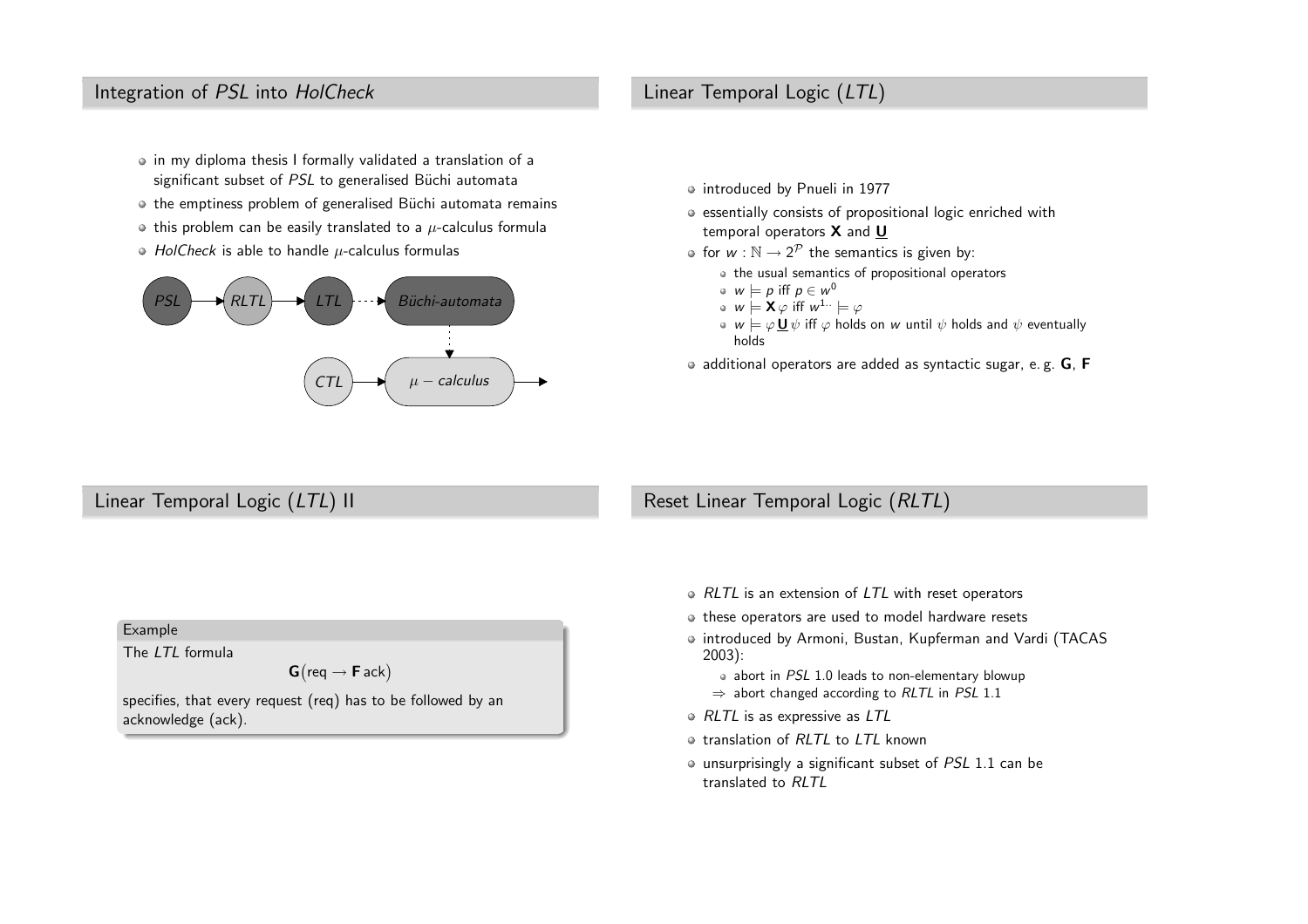## <span id="page-1-0"></span>Integration of PSL into HolCheck

- in my diploma thesis <sup>I</sup> formally validated <sup>a</sup> translation of <sup>a</sup>significant subset of  $PSL$  to generalised Büchi automata
- the emptiness problem of generalised Büchi automata remains
- this problem can be easily translated to a  $\mu$ -calculus formula
- *HolCheck* is able to handle  $\mu$ -calculus formulas



## Linear Temporal Logic (LTL)

- introduced by Pnueli in 1977
- essentially consists of propositional logic enriched withtemporal operators  ${\mathsf X}$  and  ${\mathsf U}$
- for  $w : \mathbb{N} \to 2^{\mathcal{P}}$  the semantics is given by:<br> $\bullet$  the usual semantics of arenesitional ones
	- the usual semantics of propositional operators
	- $w \models p$  iff  $p \in w^0$ <br>u  $\vdash$  **Y** u iff u ly
	- $w \models \mathsf{X} \varphi$  iff  $w^{1..} \models \varphi$
	- $w \models \varphi \mathop{\sqcup\!\!\!\!\!\!\!\! \perp} \psi$  iff  $\varphi$  holds on  $w$  until  $\psi$  holds and  $\psi$  eventually holds
- $\bullet$  additional operators are added as syntactic sugar, e.g.  $\mathsf{G}$ ,  $\mathsf{F}$

## Linear Temporal Logic (LTL) II

## Reset Linear Temporal Logic (RLTL)

- RLTL is an extension of LTL with reset operators
- $\bullet$  these operators are used to model hardware resets
- introduced by Armoni, Bustan, Kupferman and Vardi (TACAS 2003):
	- abort in PSL 1.0 leads to non-elementary blowup ⇒ abort changed according to *RLTL* in *PSL* 1.1
- RLTL is as expressive as LTL
- translation of RLTL to LTL known
- unsurprisingly a significant subset of *PSL* 1.1 can be translated to RLTL

#### Example

The LTL formula

 $\mathsf{G}\big(\mathsf{req} \rightarrow \mathsf{F}\,\mathsf{ack}\big)$ 

specifies, that every request (req) has to be followed by anacknowledge (ack).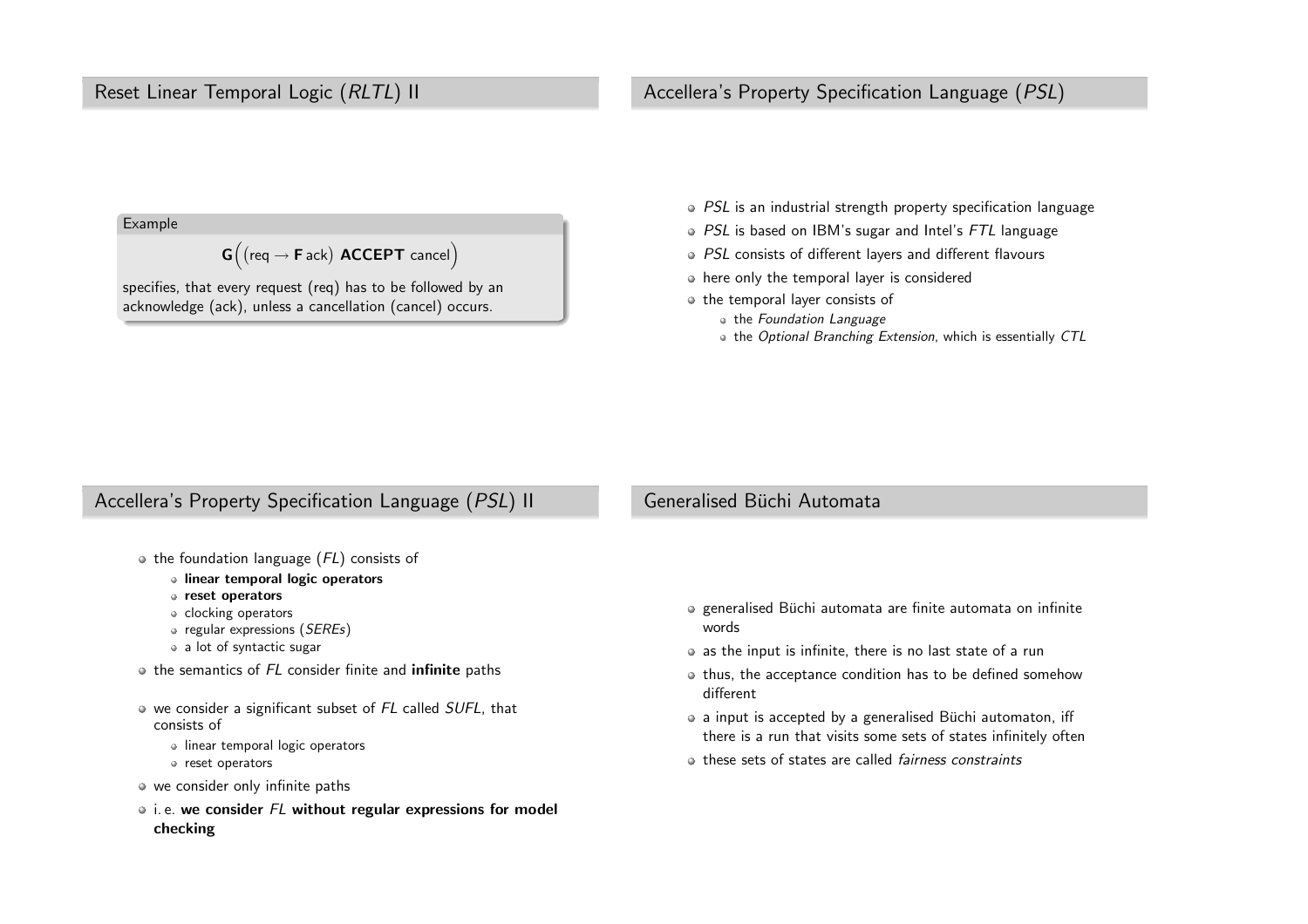#### <span id="page-2-0"></span>Reset Linear Temporal Logic (RLTL) II

#### Accellera's Property Specification Language (PSL)

Example

 $\textsf{G}\Big($  (req  $\rightarrow$  **F** ack) <code>ACCEPT</code> cancel $\Big)$ 

specifies, that every request (req) has to be followed by anacknowledge (ack), unless <sup>a</sup> cancellation (cancel) occurs.

- PSL is an industrial strength property specification language
- PSL is based on IBM's sugar and Intel's FTL language
- PSL consists of different layers and different flavours
- here only the temporal layer is considered
- o the temporal layer consists of
	- the Foundation Language
	- the Optional Branching Extension, which is essentially CTL

#### Accellera's Property Specification Language (PSL) II

## Generalised Büchi Automata

- $\bullet$  the foundation language ( $FL$ ) consists of
	- linear temporal logic operators
	- reset operators
	- clocking operators
	- regular expressions (*SEREs*)
	- <sup>a</sup> lot of syntactic sugar
- the semantics of *FL* consider finite and **infinite** paths
- we consider a significant subset of  $FL$  called  $SUFL$ , that consists of
	- **Inear temporal logic operators**
	- reset operators
- we consider only infinite paths
- i. e. <mark>we consider  $FL$  without regular expressions for model</mark> checking
- generalised Büchi automata are finite automata on infinite words
- as the input is infinite, there is no last state of <sup>a</sup> run
- $\bullet$  thus, the acceptance condition has to be defined somehow different
- a input is accepted by a generalised Büchi automaton, iff there is a run that visits some sets of states infinitely often
- these sets of states are called *fairness constraints*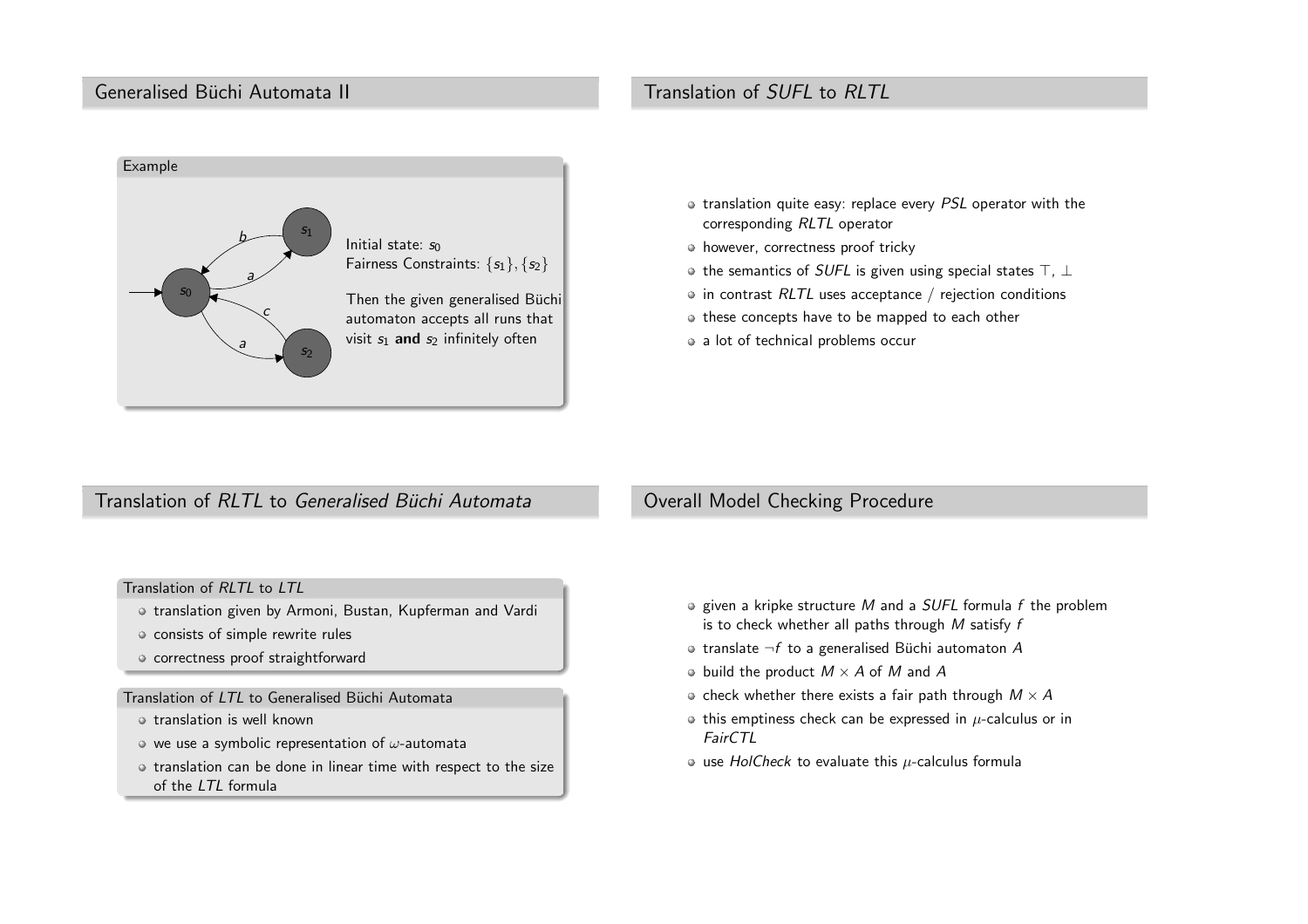#### <span id="page-3-0"></span>Generalised Büchi Automata II

# Translation of SUFL to RLTL



- translation quite easy: replace every PSL operator with the corresponding RLTL operator
- however, correctness proof tricky
- the semantics of  $\mathit{SUFL}$  is given using special states  $\top$ ,  $\bot$
- in contrast  $RLTL$  uses acceptance  $\text{/}$  rejection conditions
- $\bullet$  these concepts have to be mapped to each other
- <sup>a</sup> lot of technical problems occur

# Translation of *RLTL* to *Generalised Büchi Automata*

#### Translation of RLTL to LTL

- o translation given by Armoni, Bustan, Kupferman and Vardi
- consists of simple rewrite rules
- o correctness proof straightforward

#### Translation of  $\emph{LTL}$  to Generalised Büchi Automata

- translation is well known
- $\circ$  we use a symbolic representation of  $\omega$ -automata
- o translation can be done in linear time with respect to the size of the LTL formula

#### Overall Model Checking Procedure

- given a kripke structure M and a SUFL formula f the problem<br>is to shark whather all nathe through M satisfie f is to check whether all paths through  $M$  satisfy  $f$
- translate  $\neg f$  to a generalised Büchi automaton  $A$
- build the product  $M \times A$  of  $M$  and  $A$
- check whether there exists a fair path through  $M \times A$
- this emptiness check can be expressed in  $\mu$ -calculus or in FairCTL
- use  $HolCheck$  to evaluate this  $\mu$ -calculus formula